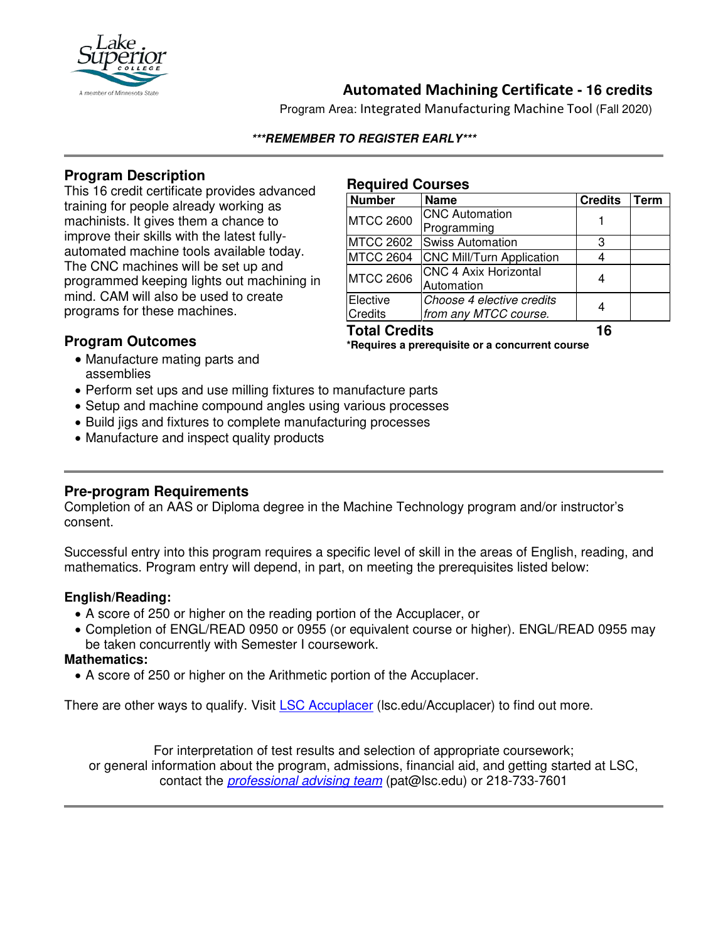

# **Automated Machining Certificate - 16 credits**

Program Area: Integrated Manufacturing Machine Tool (Fall 2020)

### **\*\*\*REMEMBER TO REGISTER EARLY\*\*\***

## **Program Description**

This 16 credit certificate provides advanced training for people already working as machinists. It gives them a chance to improve their skills with the latest fullyautomated machine tools available today. The CNC machines will be set up and programmed keeping lights out machining in mind. CAM will also be used to create programs for these machines.

#### **Required Courses**

| <b>Number</b>        | <b>Name</b>                      | <b>Credits</b> | Term |
|----------------------|----------------------------------|----------------|------|
| <b>MTCC 2600</b>     | <b>CNC Automation</b>            |                |      |
|                      | Programming                      |                |      |
| <b>MTCC 2602</b>     | <b>Swiss Automation</b>          | З              |      |
| <b>MTCC 2604</b>     | <b>CNC Mill/Turn Application</b> |                |      |
| <b>MTCC 2606</b>     | <b>CNC 4 Axix Horizontal</b>     |                |      |
|                      | Automation                       |                |      |
| Elective             | Choose 4 elective credits        |                |      |
| <b>Credits</b>       | from any MTCC course.            |                |      |
| <b>Total Credits</b> |                                  | 16             |      |

## **Program Outcomes**

**\*Requires a prerequisite or a concurrent course**

- Manufacture mating parts and assemblies
- Perform set ups and use milling fixtures to manufacture parts
- Setup and machine compound angles using various processes
- Build jigs and fixtures to complete manufacturing processes
- Manufacture and inspect quality products

## **Pre-program Requirements**

Completion of an AAS or Diploma degree in the Machine Technology program and/or instructor's consent.

Successful entry into this program requires a specific level of skill in the areas of English, reading, and mathematics. Program entry will depend, in part, on meeting the prerequisites listed below:

## **English/Reading:**

- A score of 250 or higher on the reading portion of the Accuplacer, or
- Completion of ENGL/READ 0950 or 0955 (or equivalent course or higher). ENGL/READ 0955 may be taken concurrently with Semester I coursework.

## **Mathematics:**

• A score of 250 or higher on the Arithmetic portion of the Accuplacer.

There are other ways to qualify. Visit **LSC Accuplacer** (Isc.edu/Accuplacer) to find out more.

For interpretation of test results and selection of appropriate coursework; or general information about the program, admissions, financial aid, and getting started at LSC, contact the *professional advising team* (pat@lsc.edu) or 218-733-7601